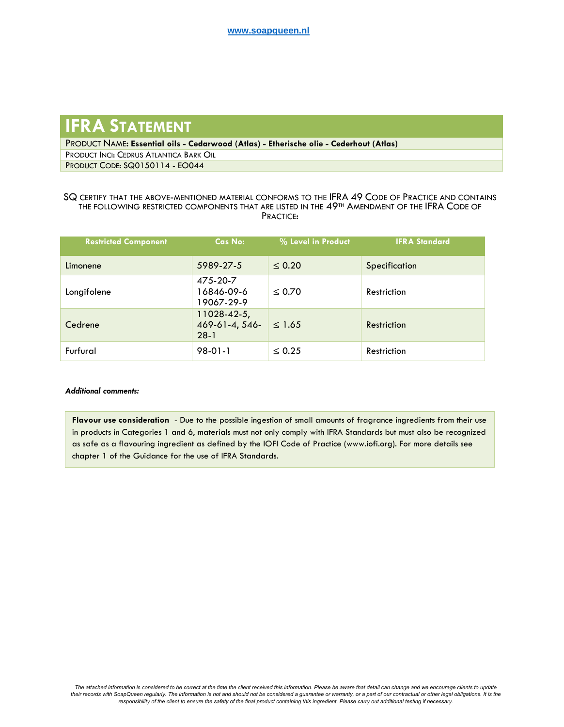## **IFRA STATEMENT**

PRODUCT NAME: **Essential oils - Cedarwood (Atlas) - Etherische olie - Cederhout (Atlas)** PRODUCT INCI: CEDRUS ATLANTICA BARK OIL

PRODUCT CODE: SQ0150114 - EO044

## SQ CERTIFY THAT THE ABOVE-MENTIONED MATERIAL CONFORMS TO THE IFRA 49 CODE OF PRACTICE AND CONTAINS THE FOLLOWING RESTRICTED COMPONENTS THAT ARE LISTED IN THE 49<sup>TH</sup> AMENDMENT OF THE IFRA CODE OF PRACTICE:

| <b>Restricted Component</b> | Cas No:                                 | % Level in Product | <b>IFRA Standard</b> |
|-----------------------------|-----------------------------------------|--------------------|----------------------|
| Limonene                    | 5989-27-5                               | $\leq 0.20$        | Specification        |
| Longifolene                 | 475-20-7<br>16846-09-6<br>19067-29-9    | $\leq 0.70$        | Restriction          |
| Cedrene                     | 11028-42-5,<br>469-61-4, 546-<br>$28-1$ | $\leq 1.65$        | Restriction          |
| Furfural                    | $98-01-1$                               | $\leq 0.25$        | Restriction          |

## *Additional comments:*

**Flavour use consideration** - Due to the possible ingestion of small amounts of fragrance ingredients from their use in products in Categories 1 and 6, materials must not only comply with IFRA Standards but must also be recognized as safe as a flavouring ingredient as defined by the IOFI Code of Practice (www.iofi.org). For more details see chapter 1 of the Guidance for the use of IFRA Standards.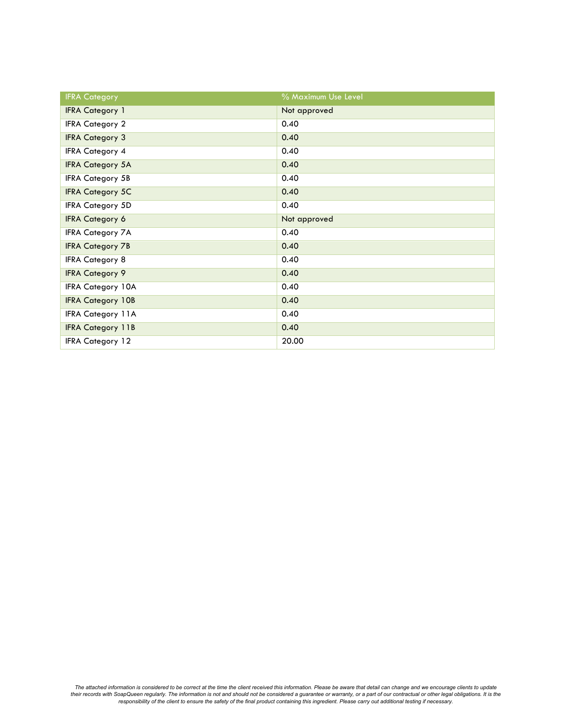| <b>IFRA Category</b>     | % Maximum Use Level |
|--------------------------|---------------------|
| <b>IFRA Category 1</b>   | Not approved        |
| <b>IFRA Category 2</b>   | 0.40                |
| <b>IFRA Category 3</b>   | 0.40                |
| <b>IFRA Category 4</b>   | 0.40                |
| <b>IFRA Category 5A</b>  | 0.40                |
| <b>IFRA Category 5B</b>  | 0.40                |
| <b>IFRA Category 5C</b>  | 0.40                |
| <b>IFRA Category 5D</b>  | 0.40                |
| <b>IFRA Category 6</b>   | Not approved        |
| <b>IFRA Category 7A</b>  | 0.40                |
| <b>IFRA Category 7B</b>  | 0.40                |
| <b>IFRA Category 8</b>   | 0.40                |
| <b>IFRA Category 9</b>   | 0.40                |
| <b>IFRA Category 10A</b> | 0.40                |
| <b>IFRA Category 10B</b> | 0.40                |
| <b>IFRA Category 11A</b> | 0.40                |
| <b>IFRA Category 11B</b> | 0.40                |
| <b>IFRA Category 12</b>  | 20.00               |